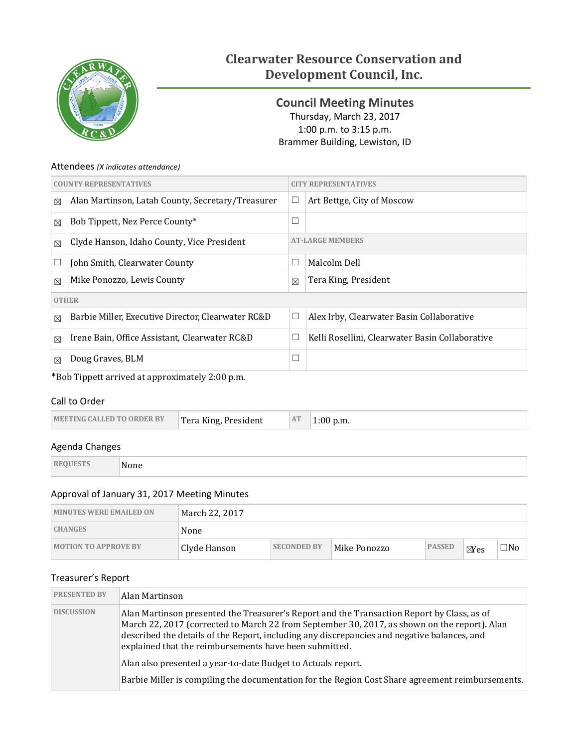

# **Clearwater Resource Conservation and Development Council, Inc.**

<span id="page-0-0"></span>**Council Meeting Minutes** Thursday, March 23, 2017 1:00 p.m. to 3:15 p.m. Brammer Building, Lewiston, ID

### Attendees *(X indicates attendance)*

|              | <b>COUNTY REPRESENTATIVES</b>                      |             | <b>Y REPRESENTATIVES</b>                        |
|--------------|----------------------------------------------------|-------------|-------------------------------------------------|
| $\boxtimes$  | Alan Martinson, Latah County, Secretary/Treasurer  | $\Box$      | Art Bettge, City of Moscow                      |
| $\boxtimes$  | Bob Tippett, Nez Perce County*                     | $\Box$      |                                                 |
| $\boxtimes$  | Clyde Hanson, Idaho County, Vice President         |             | <b>AT-LARGE MEMBERS</b>                         |
| $\Box$       | John Smith, Clearwater County                      | $\Box$      | Malcolm Dell                                    |
| $\boxtimes$  | Mike Ponozzo, Lewis County                         | $\boxtimes$ | Tera King, President                            |
| <b>OTHER</b> |                                                    |             |                                                 |
| $\boxtimes$  | Barbie Miller, Executive Director, Clearwater RC&D | $\Box$      | Alex Irby, Clearwater Basin Collaborative       |
| $\boxtimes$  | Irene Bain, Office Assistant, Clearwater RC&D      | $\Box$      | Kelli Rosellini, Clearwater Basin Collaborative |
| $\boxtimes$  | Doug Graves, BLM                                   | $\Box$      |                                                 |

\*Bob Tippett arrived at approximately 2:00 p.m.

## Call to Order

| AT<br>Tera King, President<br><b>MEETING CALLED TO ORDER BY</b><br>$1:00$ p.m. |
|--------------------------------------------------------------------------------|
|--------------------------------------------------------------------------------|

## Agenda Changes

| RF | None |  |
|----|------|--|
|    |      |  |

# Approval of January 31, 2017 Meeting Minutes

| <b>MINUTES WERE EMAILED ON</b> | March 22, 2017 |                    |              |               |                |           |
|--------------------------------|----------------|--------------------|--------------|---------------|----------------|-----------|
| <b>CHANGES</b>                 | None           |                    |              |               |                |           |
| <b>MOTION TO APPROVE BY</b>    | Clyde Hanson   | <b>SECONDED BY</b> | Mike Ponozzo | <b>PASSED</b> | $\boxtimes$ es | $\Box$ No |

# Treasurer's Report

| <b>PRESENTED BY</b> | Alan Martinson                                                                                                                                                                                                                                                                                                                                      |
|---------------------|-----------------------------------------------------------------------------------------------------------------------------------------------------------------------------------------------------------------------------------------------------------------------------------------------------------------------------------------------------|
| <b>DISCUSSION</b>   | Alan Martinson presented the Treasurer's Report and the Transaction Report by Class, as of<br>March 22, 2017 (corrected to March 22 from September 30, 2017, as shown on the report). Alan<br>described the details of the Report, including any discrepancies and negative balances, and<br>explained that the reimbursements have been submitted. |
|                     | Alan also presented a year-to-date Budget to Actuals report.                                                                                                                                                                                                                                                                                        |
|                     | Barbie Miller is compiling the documentation for the Region Cost Share agreement reimbursements.                                                                                                                                                                                                                                                    |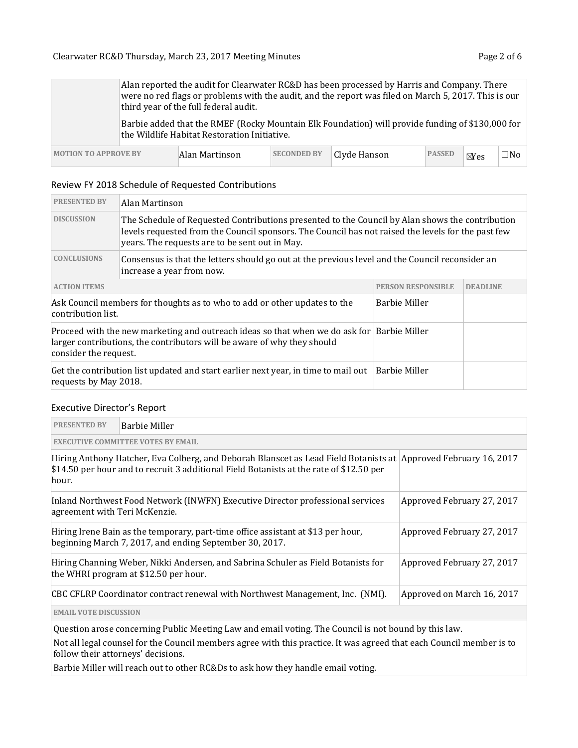|                             |                                                                                                                                                  | third year of the full federal audit. |                    | Alan reported the audit for Clearwater RC&D has been processed by Harris and Company. There<br>were no red flags or problems with the audit, and the report was filed on March 5, 2017. This is our |               |        |              |
|-----------------------------|--------------------------------------------------------------------------------------------------------------------------------------------------|---------------------------------------|--------------------|-----------------------------------------------------------------------------------------------------------------------------------------------------------------------------------------------------|---------------|--------|--------------|
|                             | Barbie added that the RMEF (Rocky Mountain Elk Foundation) will provide funding of \$130,000 for<br>the Wildlife Habitat Restoration Initiative. |                                       |                    |                                                                                                                                                                                                     |               |        |              |
| <b>MOTION TO APPROVE BY</b> |                                                                                                                                                  | Alan Martinson                        | <b>SECONDED BY</b> | Clyde Hanson                                                                                                                                                                                        | <b>PASSED</b> | $N$ es | $\square$ No |

#### Review FY 2018 Schedule of Requested Contributions

| <b>PRESENTED BY</b>   | Alan Martinson                                                                                                                                                                                                                                          |                      |  |  |  |
|-----------------------|---------------------------------------------------------------------------------------------------------------------------------------------------------------------------------------------------------------------------------------------------------|----------------------|--|--|--|
| <b>DISCUSSION</b>     | The Schedule of Requested Contributions presented to the Council by Alan shows the contribution<br>levels requested from the Council sponsors. The Council has not raised the levels for the past few<br>years. The requests are to be sent out in May. |                      |  |  |  |
| <b>CONCLUSIONS</b>    | Consensus is that the letters should go out at the previous level and the Council reconsider an<br>increase a year from now.                                                                                                                            |                      |  |  |  |
| <b>ACTION ITEMS</b>   | <b>PERSON RESPONSIBLE</b><br><b>DEADLINE</b>                                                                                                                                                                                                            |                      |  |  |  |
| contribution list.    | Ask Council members for thoughts as to who to add or other updates to the                                                                                                                                                                               | <b>Barbie Miller</b> |  |  |  |
| consider the request. | Proceed with the new marketing and outreach ideas so that when we do ask for $\vert$ Barbie Miller<br>larger contributions, the contributors will be aware of why they should                                                                           |                      |  |  |  |
| requests by May 2018. | Get the contribution list updated and start earlier next year, in time to mail out                                                                                                                                                                      | <b>Barbie Miller</b> |  |  |  |

#### Executive Director's Report

| <b>PRESENTED BY</b>           | Barbie Miller                                                                                                                                                                                              |                            |  |  |  |
|-------------------------------|------------------------------------------------------------------------------------------------------------------------------------------------------------------------------------------------------------|----------------------------|--|--|--|
|                               | <b>EXECUTIVE COMMITTEE VOTES BY EMAIL</b>                                                                                                                                                                  |                            |  |  |  |
| hour.                         | Hiring Anthony Hatcher, Eva Colberg, and Deborah Blanscet as Lead Field Botanists at Approved February 16, 2017<br>\$14.50 per hour and to recruit 3 additional Field Botanists at the rate of \$12.50 per |                            |  |  |  |
| agreement with Teri McKenzie. | Inland Northwest Food Network (INWFN) Executive Director professional services                                                                                                                             | Approved February 27, 2017 |  |  |  |
|                               | Hiring Irene Bain as the temporary, part-time office assistant at \$13 per hour,<br>beginning March 7, 2017, and ending September 30, 2017.                                                                | Approved February 27, 2017 |  |  |  |
|                               | Hiring Channing Weber, Nikki Andersen, and Sabrina Schuler as Field Botanists for<br>the WHRI program at \$12.50 per hour.                                                                                 | Approved February 27, 2017 |  |  |  |
|                               | CBC CFLRP Coordinator contract renewal with Northwest Management, Inc. (NMI).                                                                                                                              | Approved on March 16, 2017 |  |  |  |
| <b>EMAIL VOTE DISCUSSION</b>  |                                                                                                                                                                                                            |                            |  |  |  |

Question arose concerning Public Meeting Law and email voting. The Council is not bound by this law.

Not all legal counsel for the Council members agree with this practice. It was agreed that each Council member is to follow their attorneys' decisions.

Barbie Miller will reach out to other RC&Ds to ask how they handle email voting.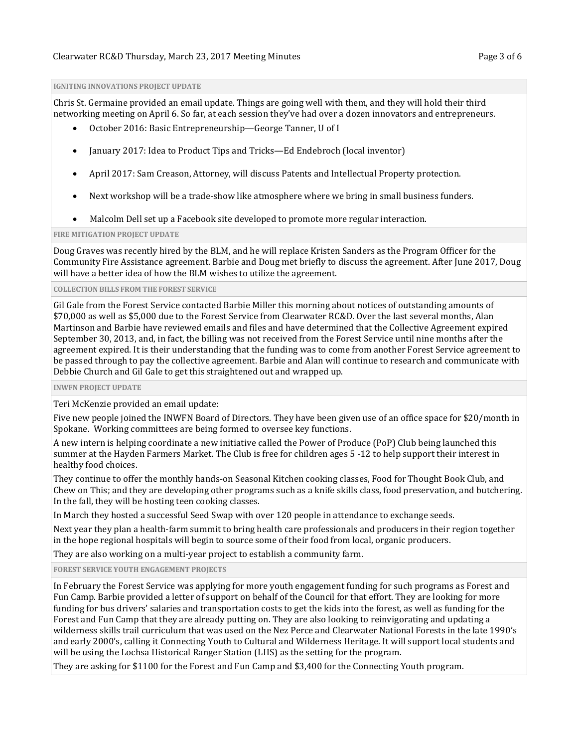#### **IGNITING INNOVATIONS PROJECT UPDATE**

Chris St. Germaine provided an email update. Things are going well with them, and they will hold their third networking meeting on April 6. So far, at each session they've had over a dozen innovators and entrepreneurs.

- October 2016: Basic Entrepreneurship—George Tanner, U of I
- January 2017: Idea to Product Tips and Tricks—Ed Endebroch (local inventor)
- April 2017: Sam Creason, Attorney, will discuss Patents and Intellectual Property protection.
- Next workshop will be a trade-show like atmosphere where we bring in small business funders.
- Malcolm Dell set up a Facebook site developed to promote more regular interaction.

#### **FIRE MITIGATION PROJECT UPDATE**

Doug Graves was recently hired by the BLM, and he will replace Kristen Sanders as the Program Officer for the Community Fire Assistance agreement. Barbie and Doug met briefly to discuss the agreement. After June 2017, Doug will have a better idea of how the BLM wishes to utilize the agreement.

#### **COLLECTION BILLS FROM THE FOREST SERVICE**

Gil Gale from the Forest Service contacted Barbie Miller this morning about notices of outstanding amounts of \$70,000 as well as \$5,000 due to the Forest Service from Clearwater RC&D. Over the last several months, Alan Martinson and Barbie have reviewed emails and files and have determined that the Collective Agreement expired September 30, 2013, and, in fact, the billing was not received from the Forest Service until nine months after the agreement expired. It is their understanding that the funding was to come from another Forest Service agreement to be passed through to pay the collective agreement. Barbie and Alan will continue to research and communicate with Debbie Church and Gil Gale to get this straightened out and wrapped up.

**INWFN PROJECT UPDATE**

Teri McKenzie provided an email update:

Five new people joined the INWFN Board of Directors. They have been given use of an office space for \$20/month in Spokane. Working committees are being formed to oversee key functions.

A new intern is helping coordinate a new initiative called the Power of Produce (PoP) Club being launched this summer at the Hayden Farmers Market. The Club is free for children ages 5 -12 to help support their interest in healthy food choices.

They continue to offer the monthly hands-on Seasonal Kitchen cooking classes, Food for Thought Book Club, and Chew on This; and they are developing other programs such as a knife skills class, food preservation, and butchering. In the fall, they will be hosting teen cooking classes.

In March they hosted a successful Seed Swap with over 120 people in attendance to exchange seeds.

Next year they plan a health-farm summit to bring health care professionals and producers in their region together in the hope regional hospitals will begin to source some of their food from local, organic producers.

They are also working on a multi-year project to establish a community farm.

**FOREST SERVICE YOUTH ENGAGEMENT PROJECTS**

In February the Forest Service was applying for more youth engagement funding for such programs as Forest and Fun Camp. Barbie provided a letter of support on behalf of the Council for that effort. They are looking for more funding for bus drivers' salaries and transportation costs to get the kids into the forest, as well as funding for the Forest and Fun Camp that they are already putting on. They are also looking to reinvigorating and updating a wilderness skills trail curriculum that was used on the Nez Perce and Clearwater National Forests in the late 1990's and early 2000's, calling it Connecting Youth to Cultural and Wilderness Heritage. It will support local students and will be using the Lochsa Historical Ranger Station (LHS) as the setting for the program.

They are asking for \$1100 for the Forest and Fun Camp and \$3,400 for the Connecting Youth program.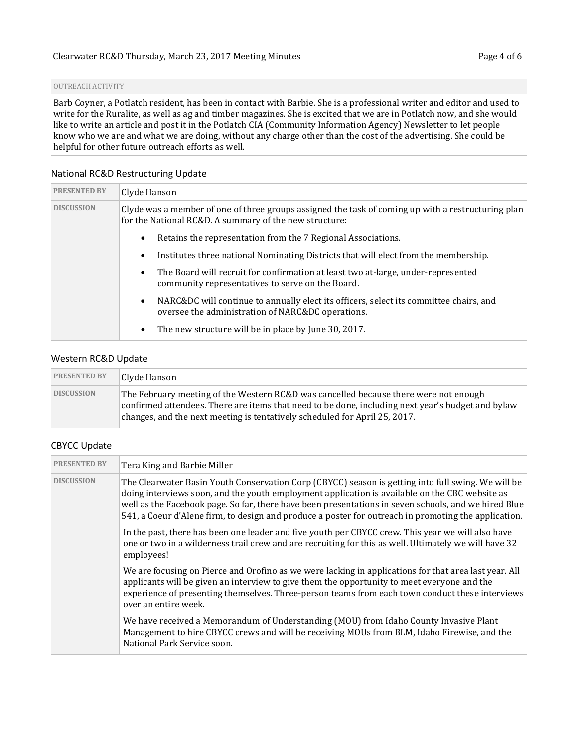#### OUTREACH ACTIVITY

Barb Coyner, a Potlatch resident, has been in contact with Barbie. She is a professional writer and editor and used to write for the Ruralite, as well as ag and timber magazines. She is excited that we are in Potlatch now, and she would like to write an article and post it in the Potlatch CIA (Community Information Agency) Newsletter to let people know who we are and what we are doing, without any charge other than the cost of the advertising. She could be helpful for other future outreach efforts as well.

#### National RC&D Restructuring Update

| <b>PRESENTED BY</b> | Clyde Hanson                                                                                                                                                 |
|---------------------|--------------------------------------------------------------------------------------------------------------------------------------------------------------|
| <b>DISCUSSION</b>   | Clyde was a member of one of three groups assigned the task of coming up with a restructuring plan<br>for the National RC&D. A summary of the new structure: |
|                     | Retains the representation from the 7 Regional Associations.<br>$\bullet$                                                                                    |
|                     | Institutes three national Nominating Districts that will elect from the membership.<br>$\bullet$                                                             |
|                     | The Board will recruit for confirmation at least two at-large, under-represented<br>$\bullet$<br>community representatives to serve on the Board.            |
|                     | NARC&DC will continue to annually elect its officers, select its committee chairs, and<br>$\bullet$<br>oversee the administration of NARC&DC operations.     |
|                     | The new structure will be in place by June 30, 2017.<br>$\bullet$                                                                                            |

#### Western RC&D Update

| <b>PRESENTED BY</b> | Clyde Hanson                                                                                                                                                                                                                                                            |
|---------------------|-------------------------------------------------------------------------------------------------------------------------------------------------------------------------------------------------------------------------------------------------------------------------|
| <b>DISCUSSION</b>   | The February meeting of the Western RC&D was cancelled because there were not enough<br>confirmed attendees. There are items that need to be done, including next year's budget and bylaw<br>changes, and the next meeting is tentatively scheduled for April 25, 2017. |

#### CBYCC Update

| <b>PRESENTED BY</b> | Tera King and Barbie Miller                                                                                                                                                                                                                                                                                                                                                                                          |
|---------------------|----------------------------------------------------------------------------------------------------------------------------------------------------------------------------------------------------------------------------------------------------------------------------------------------------------------------------------------------------------------------------------------------------------------------|
| <b>DISCUSSION</b>   | The Clearwater Basin Youth Conservation Corp (CBYCC) season is getting into full swing. We will be<br>doing interviews soon, and the youth employment application is available on the CBC website as<br>well as the Facebook page. So far, there have been presentations in seven schools, and we hired Blue<br>541, a Coeur d'Alene firm, to design and produce a poster for outreach in promoting the application. |
|                     | In the past, there has been one leader and five youth per CBYCC crew. This year we will also have<br>one or two in a wilderness trail crew and are recruiting for this as well. Ultimately we will have 32<br>employees!                                                                                                                                                                                             |
|                     | We are focusing on Pierce and Orofino as we were lacking in applications for that area last year. All<br>applicants will be given an interview to give them the opportunity to meet everyone and the<br>experience of presenting themselves. Three-person teams from each town conduct these interviews<br>over an entire week.                                                                                      |
|                     | We have received a Memorandum of Understanding (MOU) from Idaho County Invasive Plant<br>Management to hire CBYCC crews and will be receiving MOUs from BLM, Idaho Firewise, and the<br>National Park Service soon.                                                                                                                                                                                                  |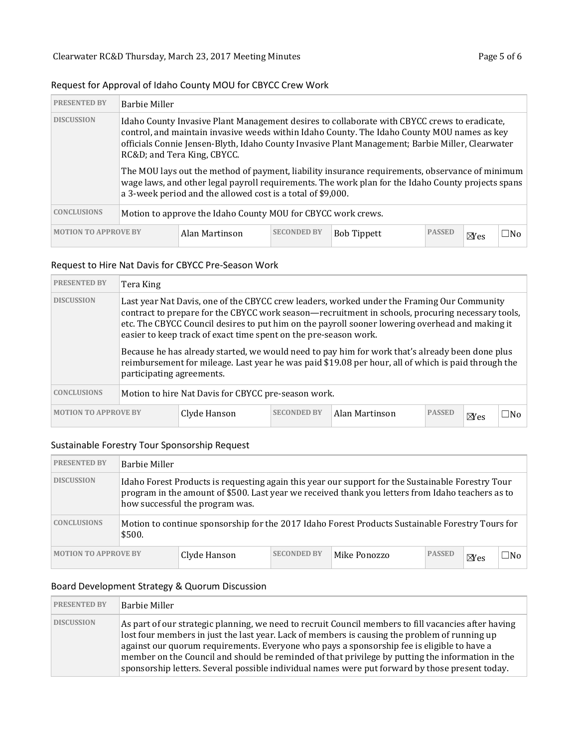|                                                                                                                                                                                                                                                                                                                                                    |                                                                                                                                                                                                                                                                      | $\sim$ , $\sim$ , $\sim$ , $\sim$ , $\sim$ , $\sim$ , $\sim$ , $\sim$ , $\sim$ , $\sim$ , $\sim$ , $\sim$ , $\sim$ , $\sim$ , $\sim$ , $\sim$ , $\sim$ , $\sim$ , $\sim$ , $\sim$ , $\sim$ , $\sim$ , $\sim$ , $\sim$ , $\sim$ , $\sim$ , $\sim$ , $\sim$ , $\sim$ , $\sim$ , $\sim$ , $\sim$ |                    |                    |               |                |              |
|----------------------------------------------------------------------------------------------------------------------------------------------------------------------------------------------------------------------------------------------------------------------------------------------------------------------------------------------------|----------------------------------------------------------------------------------------------------------------------------------------------------------------------------------------------------------------------------------------------------------------------|-----------------------------------------------------------------------------------------------------------------------------------------------------------------------------------------------------------------------------------------------------------------------------------------------|--------------------|--------------------|---------------|----------------|--------------|
| <b>PRESENTED BY</b>                                                                                                                                                                                                                                                                                                                                | <b>Barbie Miller</b>                                                                                                                                                                                                                                                 |                                                                                                                                                                                                                                                                                               |                    |                    |               |                |              |
| <b>DISCUSSION</b><br>Idaho County Invasive Plant Management desires to collaborate with CBYCC crews to eradicate,<br>control, and maintain invasive weeds within Idaho County. The Idaho County MOU names as key<br>officials Connie Jensen-Blyth, Idaho County Invasive Plant Management; Barbie Miller, Clearwater<br>RC&D and Tera King, CBYCC. |                                                                                                                                                                                                                                                                      |                                                                                                                                                                                                                                                                                               |                    |                    |               |                |              |
|                                                                                                                                                                                                                                                                                                                                                    | The MOU lays out the method of payment, liability insurance requirements, observance of minimum<br>wage laws, and other legal payroll requirements. The work plan for the Idaho County projects spans<br>a 3-week period and the allowed cost is a total of \$9,000. |                                                                                                                                                                                                                                                                                               |                    |                    |               |                |              |
| <b>CONCLUSIONS</b>                                                                                                                                                                                                                                                                                                                                 | Motion to approve the Idaho County MOU for CBYCC work crews.                                                                                                                                                                                                         |                                                                                                                                                                                                                                                                                               |                    |                    |               |                |              |
| <b>MOTION TO APPROVE BY</b>                                                                                                                                                                                                                                                                                                                        |                                                                                                                                                                                                                                                                      | Alan Martinson                                                                                                                                                                                                                                                                                | <b>SECONDED BY</b> | <b>Bob Tippett</b> | <b>PASSED</b> | $\boxtimes$ es | $\square$ No |

# Request for Approval of Idaho County MOU for CBYCC Crew Work

### Request to Hire Nat Davis for CBYCC Pre-Season Work

| <b>PRESENTED BY</b> | Tera King                                                                                                                                                                                                                                                                                                                                                             |  |        |              |  |  |  |  |
|---------------------|-----------------------------------------------------------------------------------------------------------------------------------------------------------------------------------------------------------------------------------------------------------------------------------------------------------------------------------------------------------------------|--|--------|--------------|--|--|--|--|
| <b>DISCUSSION</b>   | Last year Nat Davis, one of the CBYCC crew leaders, worked under the Framing Our Community<br>contract to prepare for the CBYCC work season—recruitment in schools, procuring necessary tools,<br>etc. The CBYCC Council desires to put him on the payroll sooner lowering overhead and making it<br>easier to keep track of exact time spent on the pre-season work. |  |        |              |  |  |  |  |
|                     | Because he has already started, we would need to pay him for work that's already been done plus<br>reimbursement for mileage. Last year he was paid \$19.08 per hour, all of which is paid through the<br>participating agreements.                                                                                                                                   |  |        |              |  |  |  |  |
| <b>CONCLUSIONS</b>  | Motion to hire Nat Davis for CBYCC pre-season work.                                                                                                                                                                                                                                                                                                                   |  |        |              |  |  |  |  |
|                     | <b>MOTION TO APPROVE BY</b><br><b>SECONDED BY</b><br><b>PASSED</b><br>Alan Martinson<br>Clyde Hanson                                                                                                                                                                                                                                                                  |  | $N$ es | $\square$ No |  |  |  |  |

### Sustainable Forestry Tour Sponsorship Request

| <b>PRESENTED BY</b>         | Barbie Miller                                                                                                                                                                                                                             |              |                    |              |               |                |              |
|-----------------------------|-------------------------------------------------------------------------------------------------------------------------------------------------------------------------------------------------------------------------------------------|--------------|--------------------|--------------|---------------|----------------|--------------|
| <b>DISCUSSION</b>           | Idaho Forest Products is requesting again this year our support for the Sustainable Forestry Tour<br>program in the amount of \$500. Last year we received thank you letters from Idaho teachers as to<br>how successful the program was. |              |                    |              |               |                |              |
| <b>CONCLUSIONS</b>          | Motion to continue sponsorship for the 2017 Idaho Forest Products Sustainable Forestry Tours for<br>\$500.                                                                                                                                |              |                    |              |               |                |              |
| <b>MOTION TO APPROVE BY</b> |                                                                                                                                                                                                                                           | Clyde Hanson | <b>SECONDED BY</b> | Mike Ponozzo | <b>PASSED</b> | $\boxtimes$ es | $\square$ No |

# Board Development Strategy & Quorum Discussion

| <b>PRESENTED BY</b> | Barbie Miller                                                                                                                                                                                                                                                                                                                                                                                                                                                                                              |
|---------------------|------------------------------------------------------------------------------------------------------------------------------------------------------------------------------------------------------------------------------------------------------------------------------------------------------------------------------------------------------------------------------------------------------------------------------------------------------------------------------------------------------------|
| <b>DISCUSSION</b>   | As part of our strategic planning, we need to recruit Council members to fill vacancies after having<br>lost four members in just the last year. Lack of members is causing the problem of running up<br>against our quorum requirements. Everyone who pays a sponsorship fee is eligible to have a<br>member on the Council and should be reminded of that privilege by putting the information in the<br>sponsorship letters. Several possible individual names were put forward by those present today. |